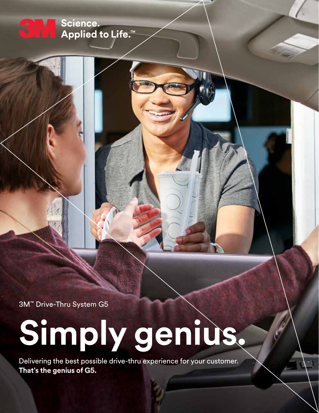

3M™ Drive-Thru System G5

# **Simply genius.**

Delivering the best possible drive-thru experience for your customer. **That's the genius of G5.**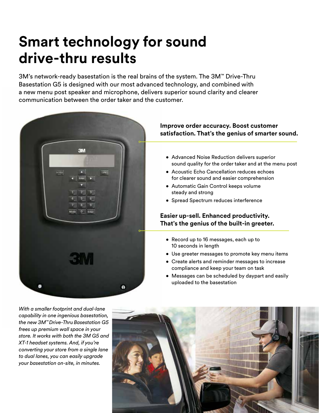# **Smart technology for sound drive-thru results**

3M's network-ready basestation is the real brains of the system. The 3M™ Drive-Thru Basestation G5 is designed with our most advanced technology, and combined with a new menu post speaker and microphone, delivers superior sound clarity and clearer communication between the order taker and the customer.



### **Improve order accuracy. Boost customer satisfaction. That's the genius of smarter sound.**

- Advanced Noise Reduction delivers superior sound quality for the order taker and at the menu post
- Acoustic Echo Cancellation reduces echoes for clearer sound and easier comprehension
- Automatic Gain Control keeps volume steady and strong
- Spread Spectrum reduces interference

### **Easier up-sell. Enhanced productivity. That's the genius of the built-in greeter.**

- Record up to 16 messages, each up to 10 seconds in length
- Use greeter messages to promote key menu items
- Create alerts and reminder messages to increase compliance and keep your team on task
- Messages can be scheduled by daypart and easily uploaded to the basestation

*With a smaller footprint and dual-lane capability in one ingenious basestation, the new 3M™ Drive-Thru Basestation G5 frees up premium wall space in your store. It works with both the 3M G5 and XT-1 headset systems. And, if you're converting your store from a single lane to dual lanes, you can easily upgrade your basestation on-site, in minutes.*

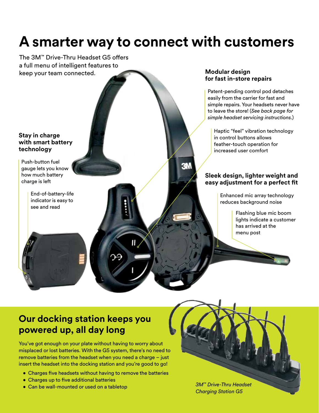## **A smarter way to connect with customers**

3N

The 3M™ Drive-Thru Headset G5 offers a full menu of intelligent features to keep your team connected.

### **Stay in charge with smart battery technology**

Push-button fuel gauge lets you know how much battery charge is left

> End-of-battery-life indicator is easy to see and read

### **Modular design for fast in-store repairs**

Patent-pending control pod detaches easily from the carrier for fast and simple repairs. Your headsets never have to leave the store! (*See back page for simple headset servicing instructions*.)

 Haptic "feel" vibration technology in control buttons allows feather-touch operation for increased user comfort

#### **Sleek design, lighter weight and easy adjustment for a perfect fit**

Enhanced mic array technology reduces background noise

> Flashing blue mic boom lights indicate a customer has arrived at the menu post

### **Our docking station keeps you powered up, all day long**

You've got enough on your plate without having to worry about misplaced or lost batteries. With the G5 system, there's no need to remove batteries from the headset when you need a charge – just insert the headset into the docking station and you're good to go!

П

- Charges five headsets without having to remove the batteries
- Charges up to five additional batteries
- Can be wall-mounted or used on a tabletop

*3M™ Drive-Thru Headset Charging Station G5*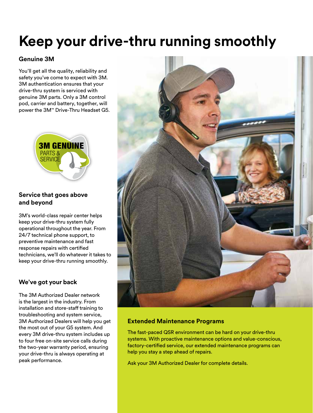# **Keep your drive-thru running smoothly**

### **Genuine 3M**

You'll get all the quality, reliability and safety you've come to expect with 3M. 3M authentication ensures that your drive-thru system is serviced with genuine 3M parts. Only a 3M control pod, carrier and battery, together, will power the 3M™ Drive-Thru Headset G5.



### **Service that goes above and beyond**

3M's world-class repair center helps keep your drive-thru system fully operational throughout the year. From 24/7 technical phone support, to preventive maintenance and fast response repairs with certified technicians, we'll do whatever it takes to keep your drive-thru running smoothly.

### **We've got your back**

The 3M Authorized Dealer network is the largest in the industry. From installation and store-staff training to troubleshooting and system service, 3M Authorized Dealers will help you get the most out of your G5 system. And every 3M drive-thru system includes up to four free on-site service calls during the two-year warranty period, ensuring your drive-thru is always operating at peak performance.



### **Extended Maintenance Programs**

The fast-paced QSR environment can be hard on your drive-thru systems. With proactive maintenance options and value-conscious, factory-certified service, our extended maintenance programs can help you stay a step ahead of repairs.

Ask your 3M Authorized Dealer for complete details.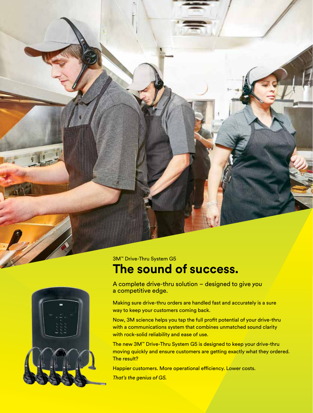

3M™ Drive-Thru System G5

### **The sound of success.**

A complete drive-thru solution – designed to give *you* a competitive edge.

Making sure drive-thru orders are handled fast and accurately is a sure way to keep your customers coming back.

Now, 3M science helps you tap the full profit potential of your drive-thru with a communications system that combines unmatched sound clarity with rock-solid reliability and ease of use.

The new 3M™ Drive-Thru System G5 is designed to keep your drive-thru moving quickly and ensure customers are getting exactly what they ordered. The result?

Happier customers. More operational efficiency. Lower costs.

*That's the genius of G5.*